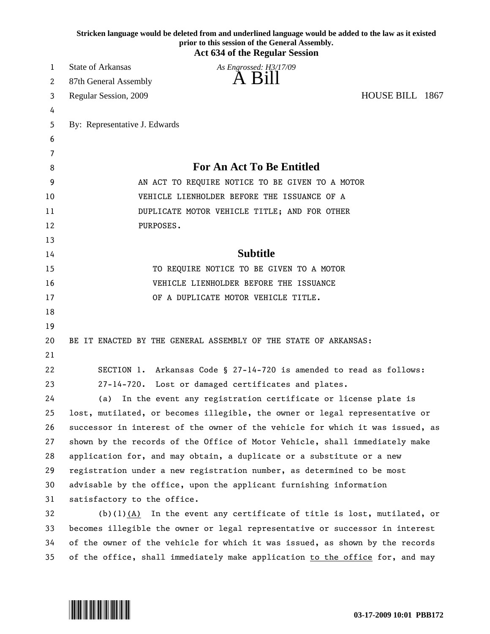| Stricken language would be deleted from and underlined language would be added to the law as it existed<br>prior to this session of the General Assembly.<br><b>Act 634 of the Regular Session</b> |                                                                               |
|----------------------------------------------------------------------------------------------------------------------------------------------------------------------------------------------------|-------------------------------------------------------------------------------|
| 1                                                                                                                                                                                                  | <b>State of Arkansas</b><br>As Engrossed: H3/17/09                            |
| 2                                                                                                                                                                                                  | A Bill<br>87th General Assembly                                               |
| 3                                                                                                                                                                                                  | HOUSE BILL 1867<br>Regular Session, 2009                                      |
| 4                                                                                                                                                                                                  |                                                                               |
| 5                                                                                                                                                                                                  | By: Representative J. Edwards                                                 |
| 6                                                                                                                                                                                                  |                                                                               |
| 7                                                                                                                                                                                                  |                                                                               |
| 8                                                                                                                                                                                                  | <b>For An Act To Be Entitled</b>                                              |
| 9                                                                                                                                                                                                  | AN ACT TO REQUIRE NOTICE TO BE GIVEN TO A MOTOR                               |
| 10                                                                                                                                                                                                 | VEHICLE LIENHOLDER BEFORE THE ISSUANCE OF A                                   |
| 11                                                                                                                                                                                                 | DUPLICATE MOTOR VEHICLE TITLE; AND FOR OTHER                                  |
| 12                                                                                                                                                                                                 | PURPOSES.                                                                     |
| 13                                                                                                                                                                                                 |                                                                               |
| 14                                                                                                                                                                                                 | <b>Subtitle</b>                                                               |
| 15                                                                                                                                                                                                 | TO REQUIRE NOTICE TO BE GIVEN TO A MOTOR                                      |
| 16                                                                                                                                                                                                 | VEHICLE LIENHOLDER BEFORE THE ISSUANCE                                        |
| 17                                                                                                                                                                                                 | OF A DUPLICATE MOTOR VEHICLE TITLE.                                           |
| 18                                                                                                                                                                                                 |                                                                               |
| 19                                                                                                                                                                                                 |                                                                               |
| 20                                                                                                                                                                                                 | BE IT ENACTED BY THE GENERAL ASSEMBLY OF THE STATE OF ARKANSAS:               |
| 21                                                                                                                                                                                                 |                                                                               |
| 22                                                                                                                                                                                                 | SECTION 1. Arkansas Code § 27-14-720 is amended to read as follows:           |
| 23                                                                                                                                                                                                 | $27 - 14 - 720$ .<br>Lost or damaged certificates and plates.                 |
| 24                                                                                                                                                                                                 | (a) In the event any registration certificate or license plate is             |
| 25                                                                                                                                                                                                 | lost, mutilated, or becomes illegible, the owner or legal representative or   |
| 26                                                                                                                                                                                                 | successor in interest of the owner of the vehicle for which it was issued, as |
| 27                                                                                                                                                                                                 | shown by the records of the Office of Motor Vehicle, shall immediately make   |
| 28                                                                                                                                                                                                 | application for, and may obtain, a duplicate or a substitute or a new         |
| 29                                                                                                                                                                                                 | registration under a new registration number, as determined to be most        |
| 30                                                                                                                                                                                                 | advisable by the office, upon the applicant furnishing information            |
| 31                                                                                                                                                                                                 | satisfactory to the office.                                                   |
| 32                                                                                                                                                                                                 | $(b)(1)(A)$ In the event any certificate of title is lost, mutilated, or      |
| 33                                                                                                                                                                                                 | becomes illegible the owner or legal representative or successor in interest  |
| 34                                                                                                                                                                                                 | of the owner of the vehicle for which it was issued, as shown by the records  |
| 35                                                                                                                                                                                                 | of the office, shall immediately make application to the office for, and may  |

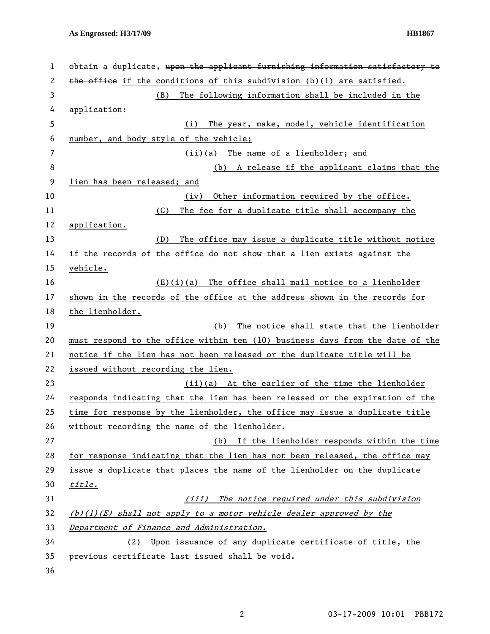| $\mathbf{1}$   | obtain a duplicate, upon the applicant furnishing information satisfactory to |
|----------------|-------------------------------------------------------------------------------|
| $\overline{c}$ | the office if the conditions of this subdivision (b)(1) are satisfied.        |
| 3              | The following information shall be included in the<br>(B)                     |
| 4              | application:                                                                  |
| 5              | The year, make, model, vehicle identification<br>(i)                          |
| 6              | number, and body style of the vehicle;                                        |
| $\overline{7}$ | (ii)(a) The name of a lienholder; and                                         |
| 8              | A release if the applicant claims that the<br>(b)                             |
| 9              | lien has been released; and                                                   |
| 10             | Other information required by the office.<br>(iv)                             |
| 11             | The fee for a duplicate title shall accompany the<br>(C)                      |
| 12             | application.                                                                  |
| 13             | The office may issue a duplicate title without notice<br>(D)                  |
| 14             | if the records of the office do not show that a lien exists against the       |
| 15             | vehicle.                                                                      |
| 16             | $(E)(i)(a)$ The office shall mail notice to a lienholder                      |
| 17             | shown in the records of the office at the address shown in the records for    |
| 18             | the lienholder.                                                               |
| 19             | (b) The notice shall state that the lienholder                                |
| 20             | must respond to the office within ten (10) business days from the date of the |
| 21             | notice if the lien has not been released or the duplicate title will be       |
| 22             | issued without recording the lien.                                            |
| 23             | (ii)(a) At the earlier of the time the lienholder                             |
| 24             | responds indicating that the lien has been released or the expiration of the  |
| 25             | time for response by the lienholder, the office may issue a duplicate title   |
| 26             | without recording the name of the lienholder.                                 |
| 27             | (b) If the lienholder responds within the time                                |
| 28             | for response indicating that the lien has not been released, the office may   |
| 29             | issue a duplicate that places the name of the lienholder on the duplicate     |
| 30             | title.                                                                        |
| 31             | (iii) The notice required under this subdivision                              |
| 32             | $(b)(1)(E)$ shall not apply to a motor vehicle dealer approved by the         |
| 33             | Department of Finance and Administration.                                     |
| 34             | Upon issuance of any duplicate certificate of title, the<br>(2)               |
| 35             | previous certificate last issued shall be void.                               |
|                |                                                                               |